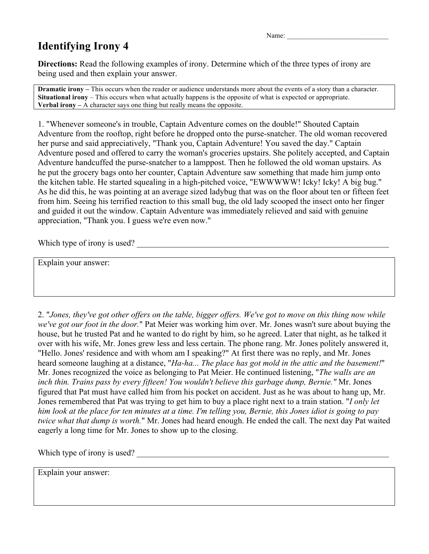Name:

## **Identifying Irony 4**

**Directions:** Read the following examples of irony. Determine which of the three types of irony are being used and then explain your answer.

**Dramatic irony** – This occurs when the reader or audience understands more about the events of a story than a character. **Situational irony** – This occurs when what actually happens is the opposite of what is expected or appropriate. **Verbal irony –** A character says one thing but really means the opposite.

1. "Whenever someone's in trouble, Captain Adventure comes on the double!" Shouted Captain Adventure from the rooftop, right before he dropped onto the purse-snatcher. The old woman recovered her purse and said appreciatively, "Thank you, Captain Adventure! You saved the day." Captain Adventure posed and offered to carry the woman's groceries upstairs. She politely accepted, and Captain Adventure handcuffed the purse-snatcher to a lamppost. Then he followed the old woman upstairs. As he put the grocery bags onto her counter, Captain Adventure saw something that made him jump onto the kitchen table. He started squealing in a high-pitched voice, "EWWWWW! Icky! Icky! A big bug." As he did this, he was pointing at an average sized ladybug that was on the floor about ten or fifteen feet from him. Seeing his terrified reaction to this small bug, the old lady scooped the insect onto her finger and guided it out the window. Captain Adventure was immediately relieved and said with genuine appreciation, "Thank you. I guess we're even now."

Which type of irony is used?

Explain your answer:

2. "*Jones, they've got other offers on the table, bigger offers. We've got to move on this thing now while we've got our foot in the door.*" Pat Meier was working him over. Mr. Jones wasn't sure about buying the house, but he trusted Pat and he wanted to do right by him, so he agreed. Later that night, as he talked it over with his wife, Mr. Jones grew less and less certain. The phone rang. Mr. Jones politely answered it, "Hello. Jones' residence and with whom am I speaking?" At first there was no reply, and Mr. Jones heard someone laughing at a distance, "*Ha-ha... The place has got mold in the attic and the basement!*" Mr. Jones recognized the voice as belonging to Pat Meier. He continued listening, "*The walls are an inch thin. Trains pass by every fifteen! You wouldn't believe this garbage dump, Bernie."* Mr. Jones figured that Pat must have called him from his pocket on accident. Just as he was about to hang up, Mr. Jones remembered that Pat was trying to get him to buy a place right next to a train station. "*I only let him look at the place for ten minutes at a time. I'm telling you, Bernie, this Jones idiot is going to pay twice what that dump is worth.*" Mr. Jones had heard enough. He ended the call. The next day Pat waited eagerly a long time for Mr. Jones to show up to the closing.

Which type of irony is used?

Explain your answer: